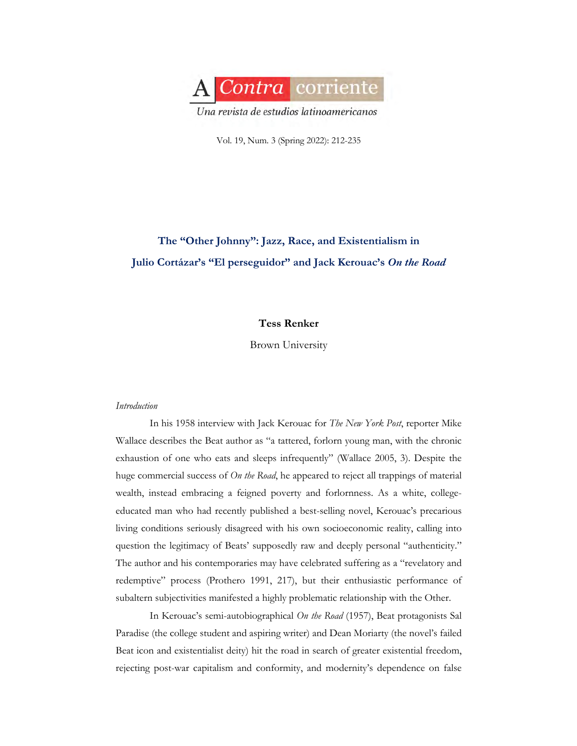

Vol. 19, Num. 3 (Spring 2022): 212-235

# **The "Other Johnny": Jazz, Race, and Existentialism in Julio Cortázar's "El perseguidor" and Jack Kerouac's** *On the Road*

## **Tess Renker**

Brown University

## *Introduction*

In his 1958 interview with Jack Kerouac for *The New York Post*, reporter Mike Wallace describes the Beat author as "a tattered, forlorn young man, with the chronic exhaustion of one who eats and sleeps infrequently" (Wallace 2005, 3). Despite the huge commercial success of *On the Road*, he appeared to reject all trappings of material wealth, instead embracing a feigned poverty and forlornness. As a white, collegeeducated man who had recently published a best-selling novel, Kerouac's precarious living conditions seriously disagreed with his own socioeconomic reality, calling into question the legitimacy of Beats' supposedly raw and deeply personal "authenticity." The author and his contemporaries may have celebrated suffering as a "revelatory and redemptive" process (Prothero 1991, 217), but their enthusiastic performance of subaltern subjectivities manifested a highly problematic relationship with the Other.

In Kerouac's semi-autobiographical *On the Road* (1957), Beat protagonists Sal Paradise (the college student and aspiring writer) and Dean Moriarty (the novel's failed Beat icon and existentialist deity) hit the road in search of greater existential freedom, rejecting post-war capitalism and conformity, and modernity's dependence on false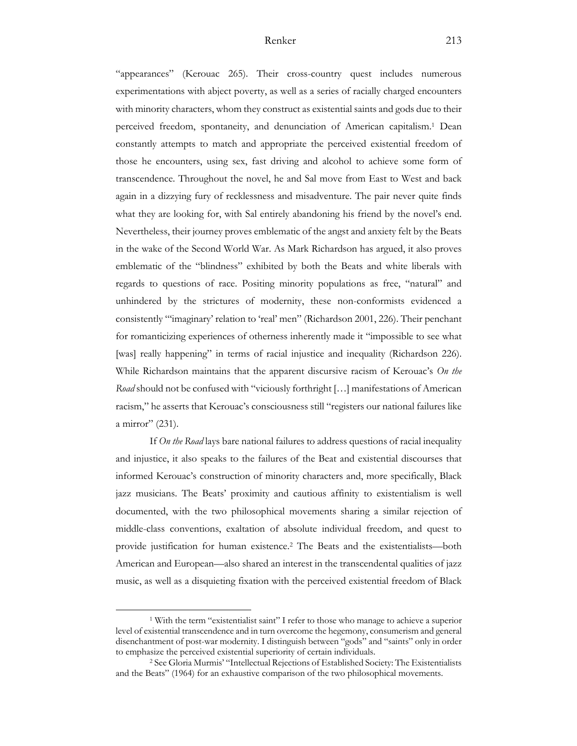"appearances" (Kerouac 265). Their cross-country quest includes numerous experimentations with abject poverty, as well as a series of racially charged encounters with minority characters, whom they construct as existential saints and gods due to their perceived freedom, spontaneity, and denunciation of American capitalism.1 Dean constantly attempts to match and appropriate the perceived existential freedom of those he encounters, using sex, fast driving and alcohol to achieve some form of transcendence. Throughout the novel, he and Sal move from East to West and back again in a dizzying fury of recklessness and misadventure. The pair never quite finds what they are looking for, with Sal entirely abandoning his friend by the novel's end. Nevertheless, their journey proves emblematic of the angst and anxiety felt by the Beats in the wake of the Second World War. As Mark Richardson has argued, it also proves emblematic of the "blindness" exhibited by both the Beats and white liberals with regards to questions of race. Positing minority populations as free, "natural" and unhindered by the strictures of modernity, these non-conformists evidenced a consistently "'imaginary' relation to 'real' men" (Richardson 2001, 226). Their penchant for romanticizing experiences of otherness inherently made it "impossible to see what [was] really happening" in terms of racial injustice and inequality (Richardson 226). While Richardson maintains that the apparent discursive racism of Kerouac's *On the Road* should not be confused with "viciously forthright […] manifestations of American racism," he asserts that Kerouac's consciousness still "registers our national failures like a mirror" (231).

If *On the Road* lays bare national failures to address questions of racial inequality and injustice, it also speaks to the failures of the Beat and existential discourses that informed Kerouac's construction of minority characters and, more specifically, Black jazz musicians. The Beats' proximity and cautious affinity to existentialism is well documented, with the two philosophical movements sharing a similar rejection of middle-class conventions, exaltation of absolute individual freedom, and quest to provide justification for human existence.2 The Beats and the existentialists—both American and European—also shared an interest in the transcendental qualities of jazz music, as well as a disquieting fixation with the perceived existential freedom of Black

<sup>1</sup> With the term "existentialist saint" I refer to those who manage to achieve a superior level of existential transcendence and in turn overcome the hegemony, consumerism and general disenchantment of post-war modernity. I distinguish between "gods" and "saints" only in order

<sup>&</sup>lt;sup>2</sup> See Gloria Murmis' "Intellectual Rejections of Established Society: The Existentialists and the Beats" (1964) for an exhaustive comparison of the two philosophical movements.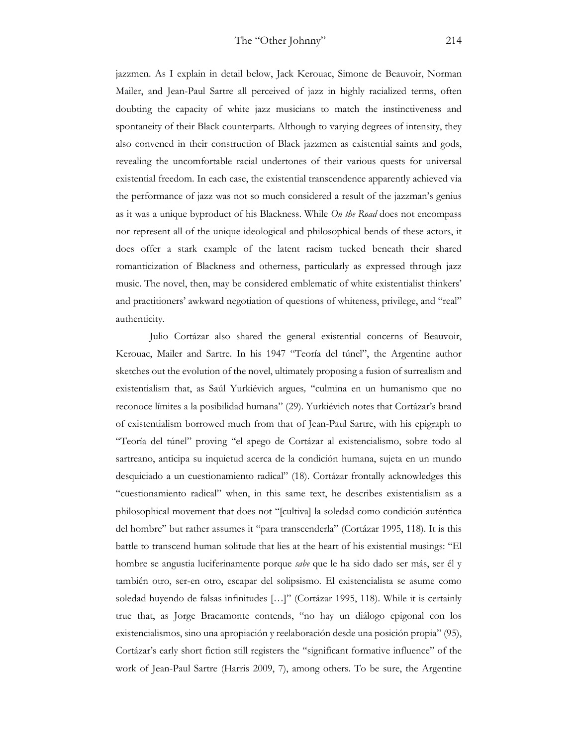jazzmen. As I explain in detail below, Jack Kerouac, Simone de Beauvoir, Norman Mailer, and Jean-Paul Sartre all perceived of jazz in highly racialized terms, often doubting the capacity of white jazz musicians to match the instinctiveness and spontaneity of their Black counterparts. Although to varying degrees of intensity, they also convened in their construction of Black jazzmen as existential saints and gods, revealing the uncomfortable racial undertones of their various quests for universal existential freedom. In each case, the existential transcendence apparently achieved via the performance of jazz was not so much considered a result of the jazzman's genius as it was a unique byproduct of his Blackness. While *On the Road* does not encompass nor represent all of the unique ideological and philosophical bends of these actors, it does offer a stark example of the latent racism tucked beneath their shared romanticization of Blackness and otherness, particularly as expressed through jazz music. The novel, then, may be considered emblematic of white existentialist thinkers' and practitioners' awkward negotiation of questions of whiteness, privilege, and "real" authenticity.

Julio Cortázar also shared the general existential concerns of Beauvoir, Kerouac, Mailer and Sartre. In his 1947 "Teoría del túnel", the Argentine author sketches out the evolution of the novel, ultimately proposing a fusion of surrealism and existentialism that, as Saúl Yurkiévich argues*,* "culmina en un humanismo que no reconoce límites a la posibilidad humana" (29). Yurkiévich notes that Cortázar's brand of existentialism borrowed much from that of Jean-Paul Sartre, with his epigraph to "Teoría del túnel" proving "el apego de Cortázar al existencialismo, sobre todo al sartreano, anticipa su inquietud acerca de la condición humana, sujeta en un mundo desquiciado a un cuestionamiento radical" (18). Cortázar frontally acknowledges this "cuestionamiento radical" when, in this same text, he describes existentialism as a philosophical movement that does not "[cultiva] la soledad como condición auténtica del hombre" but rather assumes it "para transcenderla" (Cortázar 1995, 118). It is this battle to transcend human solitude that lies at the heart of his existential musings: "El hombre se angustia luciferinamente porque *sabe* que le ha sido dado ser más, ser él y también otro, ser-en otro, escapar del solipsismo. El existencialista se asume como soledad huyendo de falsas infinitudes […]" (Cortázar 1995, 118). While it is certainly true that, as Jorge Bracamonte contends, "no hay un diálogo epigonal con los existencialismos, sino una apropiación y reelaboración desde una posición propia" (95), Cortázar's early short fiction still registers the "significant formative influence" of the work of Jean-Paul Sartre (Harris 2009, 7), among others. To be sure, the Argentine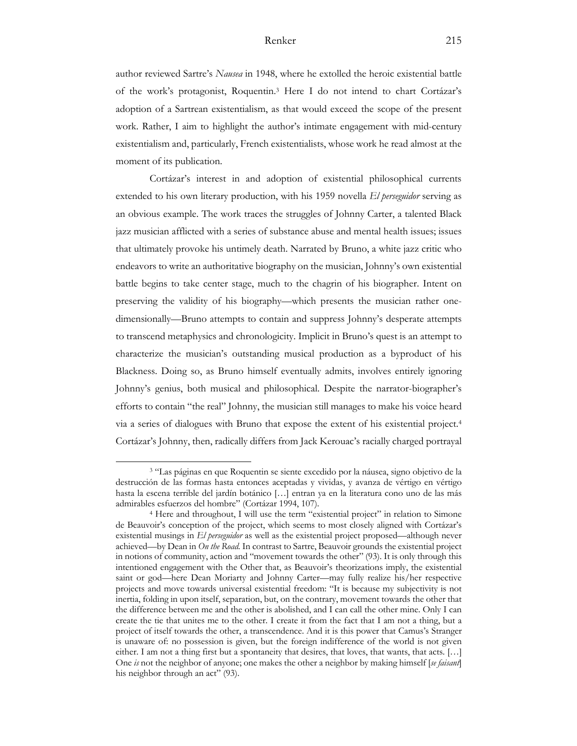author reviewed Sartre's *Nausea* in 1948, where he extolled the heroic existential battle of the work's protagonist, Roquentin.3 Here I do not intend to chart Cortázar's adoption of a Sartrean existentialism, as that would exceed the scope of the present work. Rather, I aim to highlight the author's intimate engagement with mid-century existentialism and, particularly, French existentialists, whose work he read almost at the moment of its publication.

Cortázar's interest in and adoption of existential philosophical currents extended to his own literary production, with his 1959 novella *El perseguidor* serving as an obvious example. The work traces the struggles of Johnny Carter, a talented Black jazz musician afflicted with a series of substance abuse and mental health issues; issues that ultimately provoke his untimely death. Narrated by Bruno, a white jazz critic who endeavors to write an authoritative biography on the musician, Johnny's own existential battle begins to take center stage, much to the chagrin of his biographer. Intent on preserving the validity of his biography—which presents the musician rather onedimensionally—Bruno attempts to contain and suppress Johnny's desperate attempts to transcend metaphysics and chronologicity. Implicit in Bruno's quest is an attempt to characterize the musician's outstanding musical production as a byproduct of his Blackness. Doing so, as Bruno himself eventually admits, involves entirely ignoring Johnny's genius, both musical and philosophical. Despite the narrator-biographer's efforts to contain "the real" Johnny, the musician still manages to make his voice heard via a series of dialogues with Bruno that expose the extent of his existential project.4 Cortázar's Johnny, then, radically differs from Jack Kerouac's racially charged portrayal

<sup>3</sup> "Las páginas en que Roquentin se siente excedido por la náusea, signo objetivo de la destrucción de las formas hasta entonces aceptadas y vividas, y avanza de vértigo en vértigo hasta la escena terrible del jardín botánico […] entran ya en la literatura cono uno de las más admirables esfuerzos del hombre" (Cortázar 1994, 107).

<sup>4</sup> Here and throughout, I will use the term "existential project" in relation to Simone de Beauvoir's conception of the project, which seems to most closely aligned with Cortázar's existential musings in *El perseguidor* as well as the existential project proposed—although never achieved—by Dean in *On the Road.* In contrast to Sartre, Beauvoir grounds the existential project in notions of community, action and "movement towards the other" (93). It is only through this intentioned engagement with the Other that, as Beauvoir's theorizations imply, the existential saint or god—here Dean Moriarty and Johnny Carter—may fully realize his/her respective projects and move towards universal existential freedom: "It is because my subjectivity is not inertia, folding in upon itself, separation, but, on the contrary, movement towards the other that the difference between me and the other is abolished, and I can call the other mine. Only I can create the tie that unites me to the other. I create it from the fact that I am not a thing, but a project of itself towards the other, a transcendence. And it is this power that Camus's Stranger is unaware of: no possession is given, but the foreign indifference of the world is not given either. I am not a thing first but a spontaneity that desires, that loves, that wants, that acts. […] One *is* not the neighbor of anyone; one makes the other a neighbor by making himself [*se faisant*] his neighbor through an act" (93).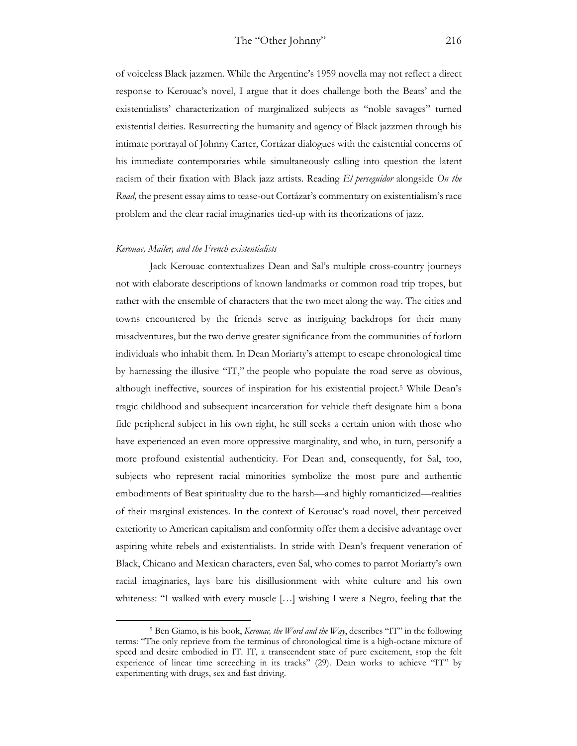of voiceless Black jazzmen*.* While the Argentine's 1959 novella may not reflect a direct response to Kerouac's novel, I argue that it does challenge both the Beats' and the existentialists' characterization of marginalized subjects as "noble savages" turned existential deities. Resurrecting the humanity and agency of Black jazzmen through his intimate portrayal of Johnny Carter, Cortázar dialogues with the existential concerns of his immediate contemporaries while simultaneously calling into question the latent racism of their fixation with Black jazz artists. Reading *El perseguidor* alongside *On the Road,* the present essay aims to tease-out Cortázar's commentary on existentialism's race problem and the clear racial imaginaries tied-up with its theorizations of jazz.

#### *Kerouac, Mailer, and the French existentialists*

Jack Kerouac contextualizes Dean and Sal's multiple cross-country journeys not with elaborate descriptions of known landmarks or common road trip tropes, but rather with the ensemble of characters that the two meet along the way. The cities and towns encountered by the friends serve as intriguing backdrops for their many misadventures, but the two derive greater significance from the communities of forlorn individuals who inhabit them. In Dean Moriarty's attempt to escape chronological time by harnessing the illusive "IT," the people who populate the road serve as obvious, although ineffective, sources of inspiration for his existential project.5 While Dean's tragic childhood and subsequent incarceration for vehicle theft designate him a bona fide peripheral subject in his own right, he still seeks a certain union with those who have experienced an even more oppressive marginality, and who, in turn, personify a more profound existential authenticity. For Dean and, consequently, for Sal, too, subjects who represent racial minorities symbolize the most pure and authentic embodiments of Beat spirituality due to the harsh—and highly romanticized—realities of their marginal existences. In the context of Kerouac's road novel, their perceived exteriority to American capitalism and conformity offer them a decisive advantage over aspiring white rebels and existentialists. In stride with Dean's frequent veneration of Black, Chicano and Mexican characters, even Sal, who comes to parrot Moriarty's own racial imaginaries, lays bare his disillusionment with white culture and his own whiteness: "I walked with every muscle […] wishing I were a Negro, feeling that the

<sup>5</sup> Ben Giamo, is his book, *Kerouac, the Word and the Way*, describes "IT" in the following terms: "The only reprieve from the terminus of chronological time is a high-octane mixture of speed and desire embodied in IT. IT, a transcendent state of pure excitement, stop the felt experience of linear time screeching in its tracks" (29). Dean works to achieve "IT" by experimenting with drugs, sex and fast driving.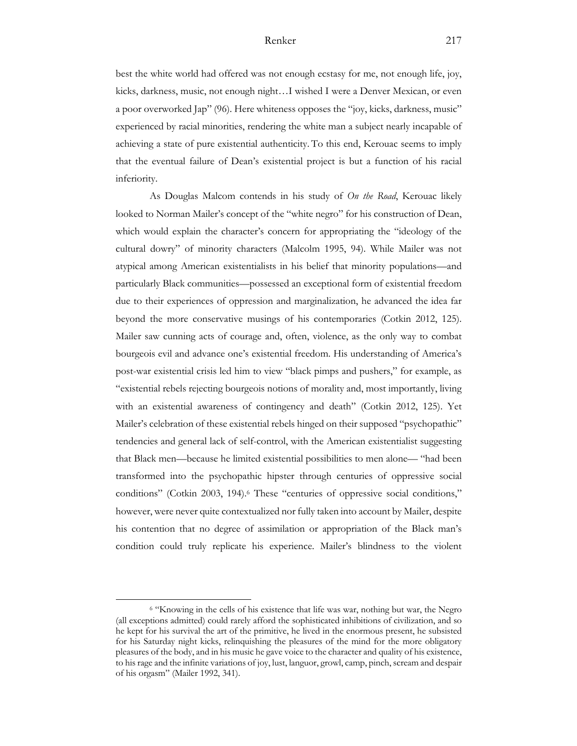best the white world had offered was not enough ecstasy for me, not enough life, joy, kicks, darkness, music, not enough night…I wished I were a Denver Mexican, or even a poor overworked Jap" (96). Here whiteness opposes the "joy, kicks, darkness, music" experienced by racial minorities, rendering the white man a subject nearly incapable of achieving a state of pure existential authenticity. To this end, Kerouac seems to imply that the eventual failure of Dean's existential project is but a function of his racial inferiority.

As Douglas Malcom contends in his study of *On the Road*, Kerouac likely looked to Norman Mailer's concept of the "white negro" for his construction of Dean, which would explain the character's concern for appropriating the "ideology of the cultural dowry" of minority characters (Malcolm 1995, 94). While Mailer was not atypical among American existentialists in his belief that minority populations—and particularly Black communities—possessed an exceptional form of existential freedom due to their experiences of oppression and marginalization, he advanced the idea far beyond the more conservative musings of his contemporaries (Cotkin 2012, 125). Mailer saw cunning acts of courage and, often, violence, as the only way to combat bourgeois evil and advance one's existential freedom. His understanding of America's post-war existential crisis led him to view "black pimps and pushers," for example, as "existential rebels rejecting bourgeois notions of morality and, most importantly, living with an existential awareness of contingency and death" (Cotkin 2012, 125). Yet Mailer's celebration of these existential rebels hinged on their supposed "psychopathic" tendencies and general lack of self-control, with the American existentialist suggesting that Black men—because he limited existential possibilities to men alone— "had been transformed into the psychopathic hipster through centuries of oppressive social conditions" (Cotkin 2003, 194).<sup>6</sup> These "centuries of oppressive social conditions," however, were never quite contextualized nor fully taken into account by Mailer, despite his contention that no degree of assimilation or appropriation of the Black man's condition could truly replicate his experience. Mailer's blindness to the violent

<sup>6</sup> "Knowing in the cells of his existence that life was war, nothing but war, the Negro (all exceptions admitted) could rarely afford the sophisticated inhibitions of civilization, and so he kept for his survival the art of the primitive, he lived in the enormous present, he subsisted for his Saturday night kicks, relinquishing the pleasures of the mind for the more obligatory pleasures of the body, and in his music he gave voice to the character and quality of his existence, to his rage and the infinite variations of joy, lust, languor, growl, camp, pinch, scream and despair of his orgasm" (Mailer 1992, 341).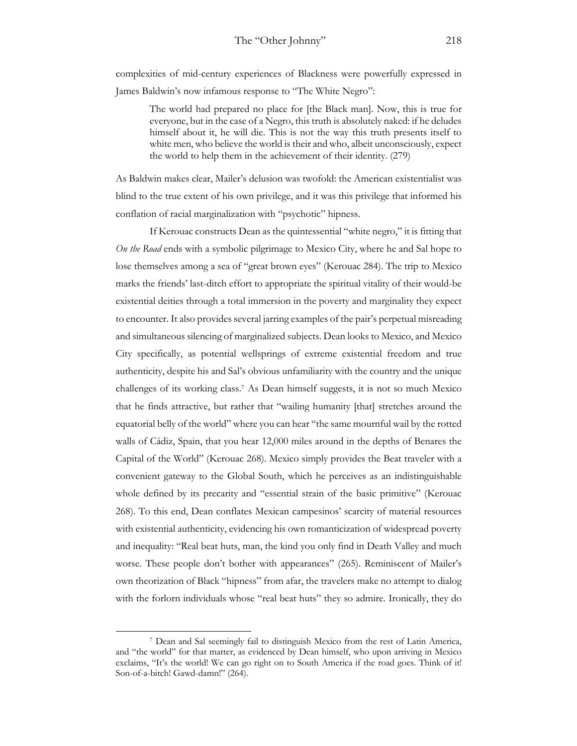complexities of mid-century experiences of Blackness were powerfully expressed in James Baldwin's now infamous response to "The White Negro":

> The world had prepared no place for [the Black man]. Now, this is true for everyone, but in the case of a Negro, this truth is absolutely naked: if he deludes himself about it, he will die. This is not the way this truth presents itself to white men, who believe the world is their and who, albeit unconsciously, expect the world to help them in the achievement of their identity. (279)

As Baldwin makes clear, Mailer's delusion was twofold: the American existentialist was blind to the true extent of his own privilege, and it was this privilege that informed his conflation of racial marginalization with "psychotic" hipness.

If Kerouac constructs Dean as the quintessential "white negro," it is fitting that *On the Road* ends with a symbolic pilgrimage to Mexico City, where he and Sal hope to lose themselves among a sea of "great brown eyes" (Kerouac 284). The trip to Mexico marks the friends' last-ditch effort to appropriate the spiritual vitality of their would-be existential deities through a total immersion in the poverty and marginality they expect to encounter. It also provides several jarring examples of the pair's perpetual misreading and simultaneous silencing of marginalized subjects. Dean looks to Mexico, and Mexico City specifically, as potential wellsprings of extreme existential freedom and true authenticity, despite his and Sal's obvious unfamiliarity with the country and the unique challenges of its working class. <sup>7</sup> As Dean himself suggests, it is not so much Mexico that he finds attractive, but rather that "wailing humanity [that] stretches around the equatorial belly of the world" where you can hear "the same mournful wail by the rotted walls of Cádiz, Spain, that you hear 12,000 miles around in the depths of Benares the Capital of the World" (Kerouac 268). Mexico simply provides the Beat traveler with a convenient gateway to the Global South, which he perceives as an indistinguishable whole defined by its precarity and "essential strain of the basic primitive" (Kerouac 268). To this end, Dean conflates Mexican campesinos' scarcity of material resources with existential authenticity, evidencing his own romanticization of widespread poverty and inequality: "Real beat huts, man, the kind you only find in Death Valley and much worse. These people don't bother with appearances" (265). Reminiscent of Mailer's own theorization of Black "hipness" from afar, the travelers make no attempt to dialog with the forlorn individuals whose "real beat huts" they so admire. Ironically, they do

<sup>7</sup> Dean and Sal seemingly fail to distinguish Mexico from the rest of Latin America, and "the world" for that matter, as evidenced by Dean himself, who upon arriving in Mexico exclaims, "It's the world! We can go right on to South America if the road goes. Think of it! Son-of-a-bitch! Gawd-damn!" (264).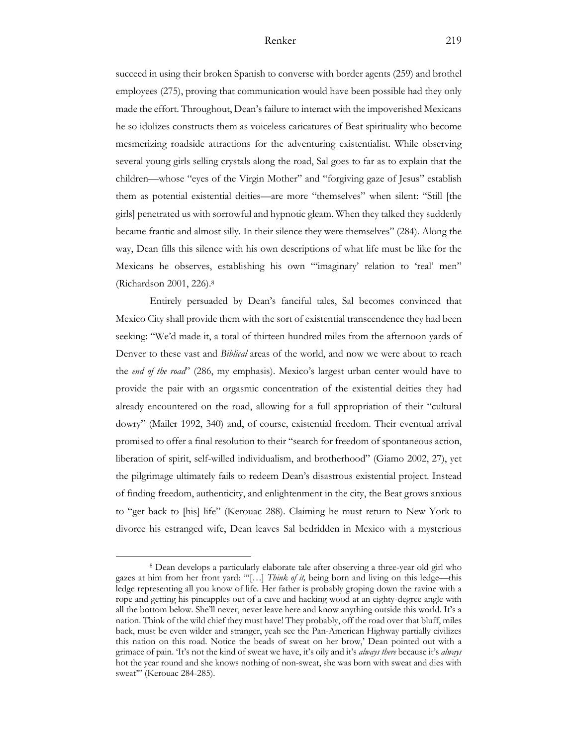succeed in using their broken Spanish to converse with border agents (259) and brothel employees (275), proving that communication would have been possible had they only made the effort. Throughout, Dean's failure to interact with the impoverished Mexicans he so idolizes constructs them as voiceless caricatures of Beat spirituality who become mesmerizing roadside attractions for the adventuring existentialist. While observing several young girls selling crystals along the road, Sal goes to far as to explain that the children—whose "eyes of the Virgin Mother" and "forgiving gaze of Jesus" establish them as potential existential deities—are more "themselves" when silent: "Still [the girls] penetrated us with sorrowful and hypnotic gleam. When they talked they suddenly became frantic and almost silly. In their silence they were themselves" (284). Along the way, Dean fills this silence with his own descriptions of what life must be like for the Mexicans he observes, establishing his own "'imaginary' relation to 'real' men'' (Richardson 2001, 226).8

Entirely persuaded by Dean's fanciful tales, Sal becomes convinced that Mexico City shall provide them with the sort of existential transcendence they had been seeking: "We'd made it, a total of thirteen hundred miles from the afternoon yards of Denver to these vast and *Biblical* areas of the world, and now we were about to reach the *end of the road*" (286, my emphasis). Mexico's largest urban center would have to provide the pair with an orgasmic concentration of the existential deities they had already encountered on the road, allowing for a full appropriation of their "cultural dowry" (Mailer 1992, 340) and, of course, existential freedom. Their eventual arrival promised to offer a final resolution to their "search for freedom of spontaneous action, liberation of spirit, self-willed individualism, and brotherhood" (Giamo 2002, 27), yet the pilgrimage ultimately fails to redeem Dean's disastrous existential project. Instead of finding freedom, authenticity, and enlightenment in the city, the Beat grows anxious to "get back to [his] life" (Kerouac 288). Claiming he must return to New York to divorce his estranged wife, Dean leaves Sal bedridden in Mexico with a mysterious

<sup>8</sup> Dean develops a particularly elaborate tale after observing a three-year old girl who gazes at him from her front yard: "'[…] *Think of it,* being born and living on this ledge—this ledge representing all you know of life. Her father is probably groping down the ravine with a rope and getting his pineapples out of a cave and hacking wood at an eighty-degree angle with all the bottom below. She'll never, never leave here and know anything outside this world. It's a nation. Think of the wild chief they must have! They probably, off the road over that bluff, miles back, must be even wilder and stranger, yeah see the Pan-American Highway partially civilizes this nation on this road. Notice the beads of sweat on her brow,' Dean pointed out with a grimace of pain. 'It's not the kind of sweat we have, it's oily and it's *always there* because it's *always*  hot the year round and she knows nothing of non-sweat, she was born with sweat and dies with sweat"" (Kerouac 284-285).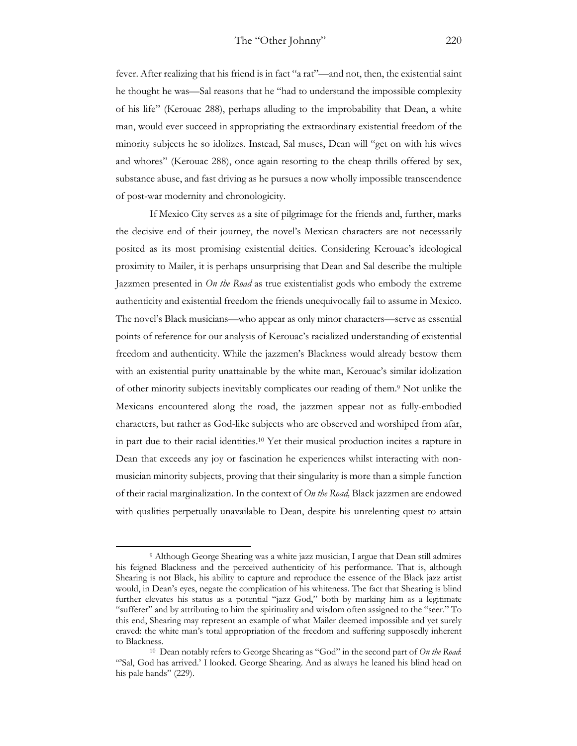fever. After realizing that his friend is in fact "a rat"—and not, then, the existential saint he thought he was—Sal reasons that he "had to understand the impossible complexity of his life" (Kerouac 288), perhaps alluding to the improbability that Dean, a white man, would ever succeed in appropriating the extraordinary existential freedom of the minority subjects he so idolizes. Instead, Sal muses, Dean will "get on with his wives and whores" (Kerouac 288), once again resorting to the cheap thrills offered by sex, substance abuse, and fast driving as he pursues a now wholly impossible transcendence of post-war modernity and chronologicity.

If Mexico City serves as a site of pilgrimage for the friends and, further, marks the decisive end of their journey, the novel's Mexican characters are not necessarily posited as its most promising existential deities. Considering Kerouac's ideological proximity to Mailer, it is perhaps unsurprising that Dean and Sal describe the multiple Jazzmen presented in *On the Road* as true existentialist gods who embody the extreme authenticity and existential freedom the friends unequivocally fail to assume in Mexico. The novel's Black musicians—who appear as only minor characters—serve as essential points of reference for our analysis of Kerouac's racialized understanding of existential freedom and authenticity. While the jazzmen's Blackness would already bestow them with an existential purity unattainable by the white man, Kerouac's similar idolization of other minority subjects inevitably complicates our reading of them. <sup>9</sup> Not unlike the Mexicans encountered along the road, the jazzmen appear not as fully-embodied characters, but rather as God-like subjects who are observed and worshiped from afar, in part due to their racial identities.10 Yet their musical production incites a rapture in Dean that exceeds any joy or fascination he experiences whilst interacting with nonmusician minority subjects, proving that their singularity is more than a simple function of their racial marginalization. In the context of *On the Road,* Black jazzmen are endowed with qualities perpetually unavailable to Dean, despite his unrelenting quest to attain

<sup>9</sup> Although George Shearing was a white jazz musician, I argue that Dean still admires his feigned Blackness and the perceived authenticity of his performance. That is, although Shearing is not Black, his ability to capture and reproduce the essence of the Black jazz artist would, in Dean's eyes, negate the complication of his whiteness. The fact that Shearing is blind further elevates his status as a potential "jazz God," both by marking him as a legitimate "sufferer" and by attributing to him the spirituality and wisdom often assigned to the "seer." To this end, Shearing may represent an example of what Mailer deemed impossible and yet surely craved: the white man's total appropriation of the freedom and suffering supposedly inherent to Blackness. 10 Dean notably refers to George Shearing as "God" in the second part of *On the Road*:

<sup>&</sup>quot;Sal, God has arrived.' I looked. George Shearing. And as always he leaned his blind head on his pale hands" (229).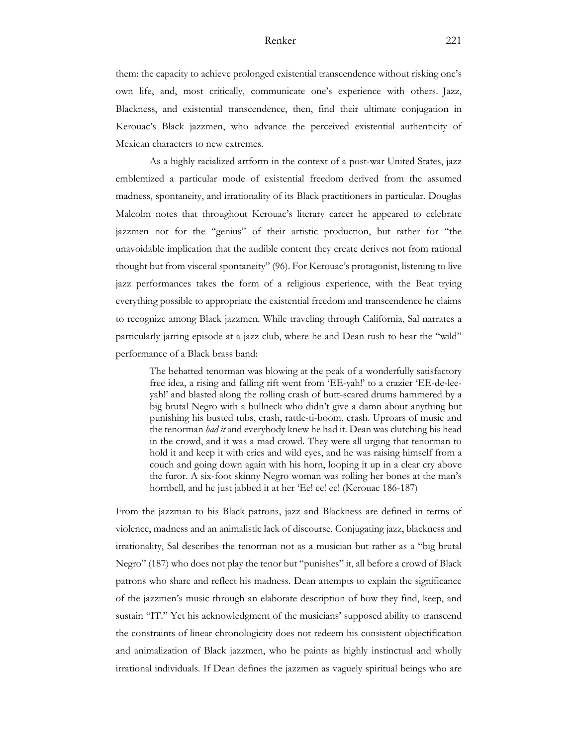them: the capacity to achieve prolonged existential transcendence without risking one's own life, and, most critically, communicate one's experience with others. Jazz, Blackness, and existential transcendence, then, find their ultimate conjugation in Kerouac's Black jazzmen, who advance the perceived existential authenticity of Mexican characters to new extremes.

As a highly racialized artform in the context of a post-war United States, jazz emblemized a particular mode of existential freedom derived from the assumed madness, spontaneity, and irrationality of its Black practitioners in particular. Douglas Malcolm notes that throughout Kerouac's literary career he appeared to celebrate jazzmen not for the "genius" of their artistic production, but rather for "the unavoidable implication that the audible content they create derives not from rational thought but from visceral spontaneity" (96). For Kerouac's protagonist, listening to live jazz performances takes the form of a religious experience, with the Beat trying everything possible to appropriate the existential freedom and transcendence he claims to recognize among Black jazzmen. While traveling through California, Sal narrates a particularly jarring episode at a jazz club, where he and Dean rush to hear the "wild" performance of a Black brass band:

The behatted tenorman was blowing at the peak of a wonderfully satisfactory free idea, a rising and falling rift went from 'EE-yah!' to a crazier 'EE-de-leeyah!' and blasted along the rolling crash of butt-scared drums hammered by a big brutal Negro with a bullneck who didn't give a damn about anything but punishing his busted tubs, crash, rattle-ti-boom, crash. Uproars of music and the tenorman *had it* and everybody knew he had it. Dean was clutching his head in the crowd, and it was a mad crowd. They were all urging that tenorman to hold it and keep it with cries and wild eyes, and he was raising himself from a couch and going down again with his horn, looping it up in a clear cry above the furor. A six-foot skinny Negro woman was rolling her bones at the man's hornbell, and he just jabbed it at her 'Ee! ee! ee! (Kerouac 186-187)

From the jazzman to his Black patrons, jazz and Blackness are defined in terms of violence, madness and an animalistic lack of discourse. Conjugating jazz, blackness and irrationality, Sal describes the tenorman not as a musician but rather as a "big brutal Negro" (187) who does not play the tenor but "punishes" it, all before a crowd of Black patrons who share and reflect his madness. Dean attempts to explain the significance of the jazzmen's music through an elaborate description of how they find, keep, and sustain "IT." Yet his acknowledgment of the musicians' supposed ability to transcend the constraints of linear chronologicity does not redeem his consistent objectification and animalization of Black jazzmen, who he paints as highly instinctual and wholly irrational individuals. If Dean defines the jazzmen as vaguely spiritual beings who are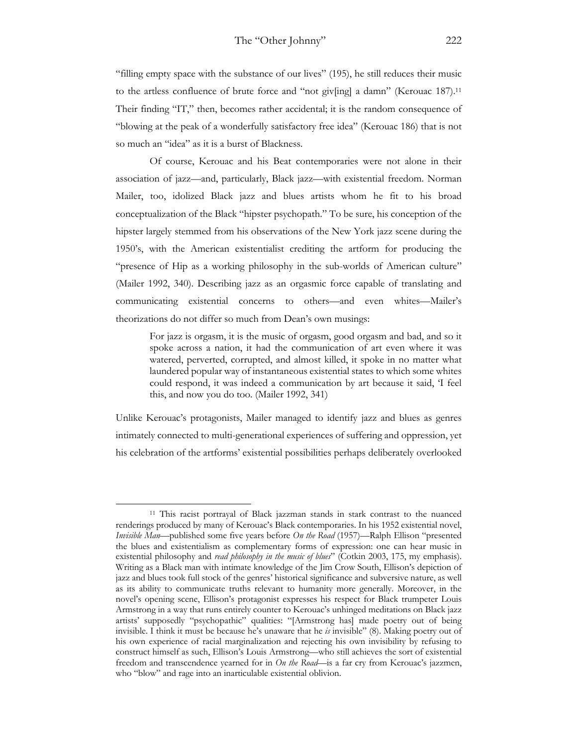"filling empty space with the substance of our lives" (195), he still reduces their music to the artless confluence of brute force and "not giv[ing] a damn" (Kerouac 187).11 Their finding "IT," then, becomes rather accidental; it is the random consequence of "blowing at the peak of a wonderfully satisfactory free idea" (Kerouac 186) that is not so much an "idea" as it is a burst of Blackness.

Of course, Kerouac and his Beat contemporaries were not alone in their association of jazz—and, particularly, Black jazz—with existential freedom. Norman Mailer, too, idolized Black jazz and blues artists whom he fit to his broad conceptualization of the Black "hipster psychopath." To be sure, his conception of the hipster largely stemmed from his observations of the New York jazz scene during the 1950's, with the American existentialist crediting the artform for producing the "presence of Hip as a working philosophy in the sub-worlds of American culture" (Mailer 1992, 340). Describing jazz as an orgasmic force capable of translating and communicating existential concerns to others—and even whites—Mailer's theorizations do not differ so much from Dean's own musings:

For jazz is orgasm, it is the music of orgasm, good orgasm and bad, and so it spoke across a nation, it had the communication of art even where it was watered, perverted, corrupted, and almost killed, it spoke in no matter what laundered popular way of instantaneous existential states to which some whites could respond, it was indeed a communication by art because it said, 'I feel this, and now you do too. (Mailer 1992, 341)

Unlike Kerouac's protagonists, Mailer managed to identify jazz and blues as genres intimately connected to multi-generational experiences of suffering and oppression, yet his celebration of the artforms' existential possibilities perhaps deliberately overlooked

<sup>11</sup> This racist portrayal of Black jazzman stands in stark contrast to the nuanced renderings produced by many of Kerouac's Black contemporaries. In his 1952 existential novel, *Invisible Man*—published some five years before *On the Road* (1957)—Ralph Ellison "presented the blues and existentialism as complementary forms of expression: one can hear music in existential philosophy and *read philosophy in the music of blues*" (Cotkin 2003, 175, my emphasis). Writing as a Black man with intimate knowledge of the Jim Crow South, Ellison's depiction of jazz and blues took full stock of the genres' historical significance and subversive nature, as well as its ability to communicate truths relevant to humanity more generally. Moreover, in the novel's opening scene, Ellison's protagonist expresses his respect for Black trumpeter Louis Armstrong in a way that runs entirely counter to Kerouac's unhinged meditations on Black jazz artists' supposedly "psychopathic" qualities: "[Armstrong has] made poetry out of being invisible. I think it must be because he's unaware that he *is* invisible" (8). Making poetry out of his own experience of racial marginalization and rejecting his own invisibility by refusing to construct himself as such, Ellison's Louis Armstrong—who still achieves the sort of existential freedom and transcendence yearned for in *On the Road*—is a far cry from Kerouac's jazzmen, who "blow" and rage into an inarticulable existential oblivion.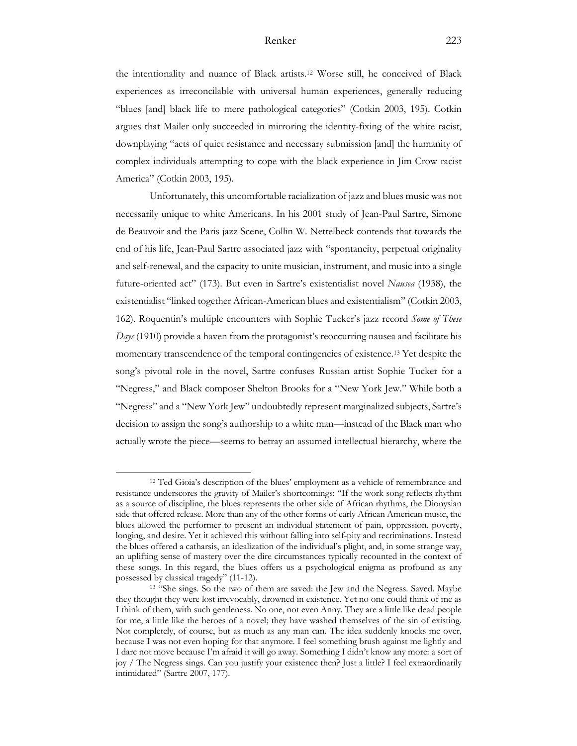the intentionality and nuance of Black artists.12 Worse still, he conceived of Black experiences as irreconcilable with universal human experiences, generally reducing "blues [and] black life to mere pathological categories" (Cotkin 2003, 195). Cotkin argues that Mailer only succeeded in mirroring the identity-fixing of the white racist, downplaying "acts of quiet resistance and necessary submission [and] the humanity of complex individuals attempting to cope with the black experience in Jim Crow racist America" (Cotkin 2003, 195).

Unfortunately, this uncomfortable racialization of jazz and blues music was not necessarily unique to white Americans. In his 2001 study of Jean-Paul Sartre, Simone de Beauvoir and the Paris jazz Scene, Collin W. Nettelbeck contends that towards the end of his life, Jean-Paul Sartre associated jazz with "spontaneity, perpetual originality and self-renewal, and the capacity to unite musician, instrument, and music into a single future-oriented act" (173). But even in Sartre's existentialist novel *Nausea* (1938), the existentialist "linked together African-American blues and existentialism" (Cotkin 2003, 162). Roquentin's multiple encounters with Sophie Tucker's jazz record *Some of These Days* (1910) provide a haven from the protagonist's reoccurring nausea and facilitate his momentary transcendence of the temporal contingencies of existence.13 Yet despite the song's pivotal role in the novel, Sartre confuses Russian artist Sophie Tucker for a "Negress," and Black composer Shelton Brooks for a "New York Jew." While both a "Negress" and a "New York Jew" undoubtedly represent marginalized subjects, Sartre's decision to assign the song's authorship to a white man—instead of the Black man who actually wrote the piece—seems to betray an assumed intellectual hierarchy, where the

<sup>12</sup> Ted Gioia's description of the blues' employment as a vehicle of remembrance and resistance underscores the gravity of Mailer's shortcomings: "If the work song reflects rhythm as a source of discipline, the blues represents the other side of African rhythms, the Dionysian side that offered release. More than any of the other forms of early African American music, the blues allowed the performer to present an individual statement of pain, oppression, poverty, longing, and desire. Yet it achieved this without falling into self-pity and recriminations. Instead the blues offered a catharsis, an idealization of the individual's plight, and, in some strange way, an uplifting sense of mastery over the dire circumstances typically recounted in the context of these songs. In this regard, the blues offers us a psychological enigma as profound as any possessed by classical tragedy" (11-12).

<sup>13</sup> "She sings. So the two of them are saved: the Jew and the Negress. Saved. Maybe they thought they were lost irrevocably, drowned in existence. Yet no one could think of me as I think of them, with such gentleness. No one, not even Anny. They are a little like dead people for me, a little like the heroes of a novel; they have washed themselves of the sin of existing. Not completely, of course, but as much as any man can. The idea suddenly knocks me over, because I was not even hoping for that anymore. I feel something brush against me lightly and I dare not move because I'm afraid it will go away. Something I didn't know any more: a sort of joy / The Negress sings. Can you justify your existence then? Just a little? I feel extraordinarily intimidated" (Sartre 2007, 177).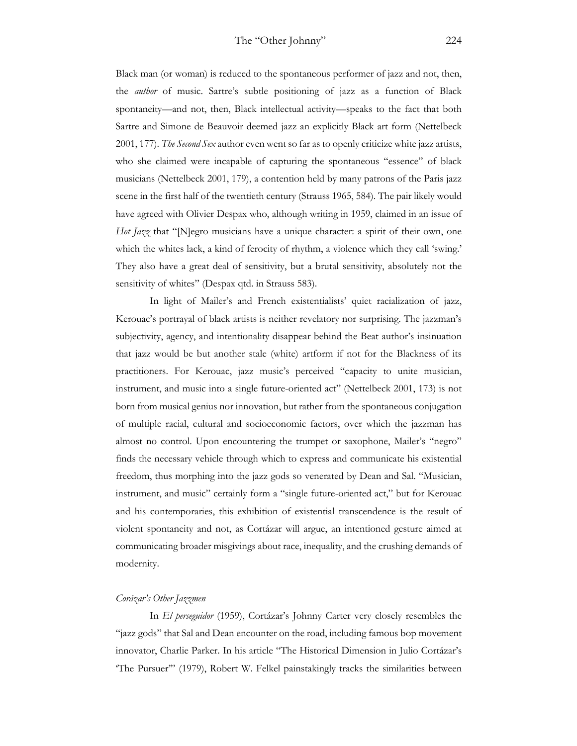Black man (or woman) is reduced to the spontaneous performer of jazz and not, then, the *author* of music. Sartre's subtle positioning of jazz as a function of Black spontaneity—and not, then, Black intellectual activity—speaks to the fact that both Sartre and Simone de Beauvoir deemed jazz an explicitly Black art form (Nettelbeck 2001, 177). *The Second Sex* author even went so far as to openly criticize white jazz artists, who she claimed were incapable of capturing the spontaneous "essence" of black musicians (Nettelbeck 2001, 179), a contention held by many patrons of the Paris jazz scene in the first half of the twentieth century (Strauss 1965, 584). The pair likely would have agreed with Olivier Despax who, although writing in 1959, claimed in an issue of *Hot Jazz* that "[N]egro musicians have a unique character: a spirit of their own, one which the whites lack, a kind of ferocity of rhythm, a violence which they call 'swing.' They also have a great deal of sensitivity, but a brutal sensitivity, absolutely not the sensitivity of whites" (Despax qtd. in Strauss 583).

In light of Mailer's and French existentialists' quiet racialization of jazz, Kerouac's portrayal of black artists is neither revelatory nor surprising. The jazzman's subjectivity, agency, and intentionality disappear behind the Beat author's insinuation that jazz would be but another stale (white) artform if not for the Blackness of its practitioners. For Kerouac, jazz music's perceived "capacity to unite musician, instrument, and music into a single future-oriented act" (Nettelbeck 2001, 173) is not born from musical genius nor innovation, but rather from the spontaneous conjugation of multiple racial, cultural and socioeconomic factors, over which the jazzman has almost no control. Upon encountering the trumpet or saxophone, Mailer's "negro" finds the necessary vehicle through which to express and communicate his existential freedom, thus morphing into the jazz gods so venerated by Dean and Sal. "Musician, instrument, and music" certainly form a "single future-oriented act," but for Kerouac and his contemporaries, this exhibition of existential transcendence is the result of violent spontaneity and not, as Cortázar will argue, an intentioned gesture aimed at communicating broader misgivings about race, inequality, and the crushing demands of modernity.

#### *Corázar's Other Jazzmen*

In *El perseguidor* (1959), Cortázar's Johnny Carter very closely resembles the "jazz gods" that Sal and Dean encounter on the road, including famous bop movement innovator, Charlie Parker. In his article "The Historical Dimension in Julio Cortázar's 'The Pursuer'" (1979), Robert W. Felkel painstakingly tracks the similarities between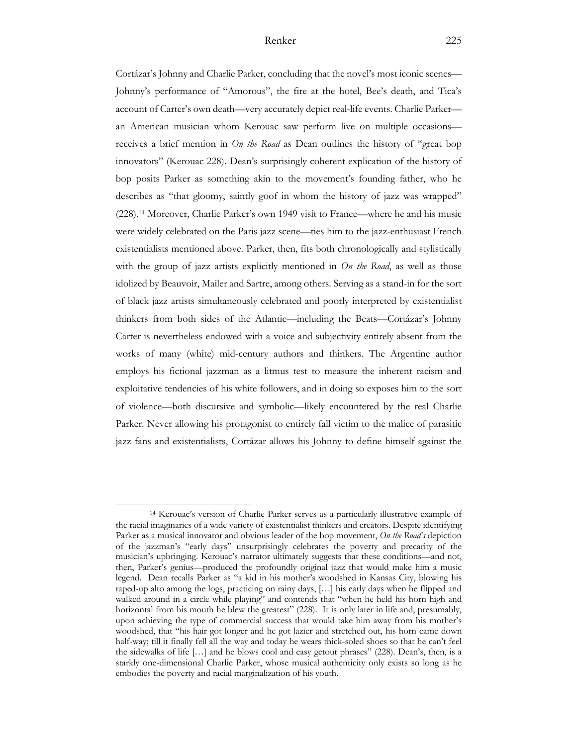Cortázar's Johnny and Charlie Parker, concluding that the novel's most iconic scenes— Johnny's performance of "Amorous", the fire at the hotel, Bee's death, and Tica's account of Carter's own death—very accurately depict real-life events. Charlie Parker an American musician whom Kerouac saw perform live on multiple occasions receives a brief mention in *On the Road* as Dean outlines the history of "great bop innovators" (Kerouac 228). Dean's surprisingly coherent explication of the history of bop posits Parker as something akin to the movement's founding father, who he describes as "that gloomy, saintly goof in whom the history of jazz was wrapped" (228).14 Moreover, Charlie Parker's own 1949 visit to France—where he and his music were widely celebrated on the Paris jazz scene—ties him to the jazz-enthusiast French existentialists mentioned above. Parker, then, fits both chronologically and stylistically with the group of jazz artists explicitly mentioned in *On the Road*, as well as those idolized by Beauvoir, Mailer and Sartre, among others. Serving as a stand-in for the sort of black jazz artists simultaneously celebrated and poorly interpreted by existentialist thinkers from both sides of the Atlantic—including the Beats—Cortázar's Johnny Carter is nevertheless endowed with a voice and subjectivity entirely absent from the works of many (white) mid-century authors and thinkers. The Argentine author employs his fictional jazzman as a litmus test to measure the inherent racism and exploitative tendencies of his white followers, and in doing so exposes him to the sort of violence—both discursive and symbolic—likely encountered by the real Charlie Parker. Never allowing his protagonist to entirely fall victim to the malice of parasitic jazz fans and existentialists, Cortázar allows his Johnny to define himself against the

<sup>14</sup> Kerouac's version of Charlie Parker serves as a particularly illustrative example of the racial imaginaries of a wide variety of existentialist thinkers and creators. Despite identifying Parker as a musical innovator and obvious leader of the bop movement, *On the Road's* depiction of the jazzman's "early days" unsurprisingly celebrates the poverty and precarity of the musician's upbringing. Kerouac's narrator ultimately suggests that these conditions—and not, then, Parker's genius—produced the profoundly original jazz that would make him a music legend. Dean recalls Parker as "a kid in his mother's woodshed in Kansas City, blowing his taped-up alto among the logs, practicing on rainy days, […] his early days when he flipped and walked around in a circle while playing" and contends that "when he held his horn high and horizontal from his mouth he blew the greatest" (228). It is only later in life and, presumably, upon achieving the type of commercial success that would take him away from his mother's woodshed, that "his hair got longer and he got lazier and stretched out, his horn came down half-way; till it finally fell all the way and today he wears thick-soled shoes so that he can't feel the sidewalks of life […] and he blows cool and easy getout phrases" (228). Dean's, then, is a starkly one-dimensional Charlie Parker, whose musical authenticity only exists so long as he embodies the poverty and racial marginalization of his youth.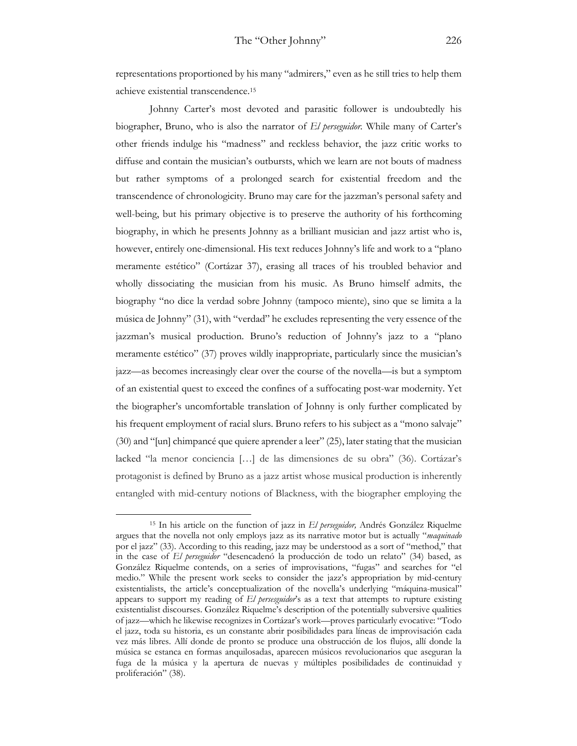representations proportioned by his many "admirers," even as he still tries to help them achieve existential transcendence.15

Johnny Carter's most devoted and parasitic follower is undoubtedly his biographer, Bruno, who is also the narrator of *El perseguidor.* While many of Carter's other friends indulge his "madness" and reckless behavior, the jazz critic works to diffuse and contain the musician's outbursts, which we learn are not bouts of madness but rather symptoms of a prolonged search for existential freedom and the transcendence of chronologicity. Bruno may care for the jazzman's personal safety and well-being, but his primary objective is to preserve the authority of his forthcoming biography, in which he presents Johnny as a brilliant musician and jazz artist who is, however, entirely one-dimensional. His text reduces Johnny's life and work to a "plano meramente estético" (Cortázar 37), erasing all traces of his troubled behavior and wholly dissociating the musician from his music. As Bruno himself admits, the biography "no dice la verdad sobre Johnny (tampoco miente), sino que se limita a la música de Johnny" (31), with "verdad" he excludes representing the very essence of the jazzman's musical production. Bruno's reduction of Johnny's jazz to a "plano meramente estético" (37) proves wildly inappropriate, particularly since the musician's jazz—as becomes increasingly clear over the course of the novella—is but a symptom of an existential quest to exceed the confines of a suffocating post-war modernity. Yet the biographer's uncomfortable translation of Johnny is only further complicated by his frequent employment of racial slurs. Bruno refers to his subject as a "mono salvaje" (30) and "[un] chimpancé que quiere aprender a leer" (25), later stating that the musician lacked "la menor conciencia […] de las dimensiones de su obra" (36). Cortázar's protagonist is defined by Bruno as a jazz artist whose musical production is inherently entangled with mid-century notions of Blackness, with the biographer employing the

<sup>15</sup> In his article on the function of jazz in *El perseguidor,* Andrés González Riquelme argues that the novella not only employs jazz as its narrative motor but is actually "*maquinado*  por el jazz" (33). According to this reading, jazz may be understood as a sort of "method," that in the case of *El perseguidor* "desencadenó la producción de todo un relato" (34) based, as González Riquelme contends, on a series of improvisations, "fugas" and searches for "el medio." While the present work seeks to consider the jazz's appropriation by mid-century existentialists, the article's conceptualization of the novella's underlying "máquina-musical" appears to support my reading of *El persesguidor*'s as a text that attempts to rupture existing existentialist discourses. González Riquelme's description of the potentially subversive qualities of jazz—which he likewise recognizes in Cortázar's work—proves particularly evocative: "Todo el jazz, toda su historia, es un constante abrir posibilidades para líneas de improvisación cada vez más libres. Allí donde de pronto se produce una obstrucción de los flujos, allí donde la música se estanca en formas anquilosadas, aparecen músicos revolucionarios que aseguran la fuga de la música y la apertura de nuevas y múltiples posibilidades de continuidad y proliferación" (38).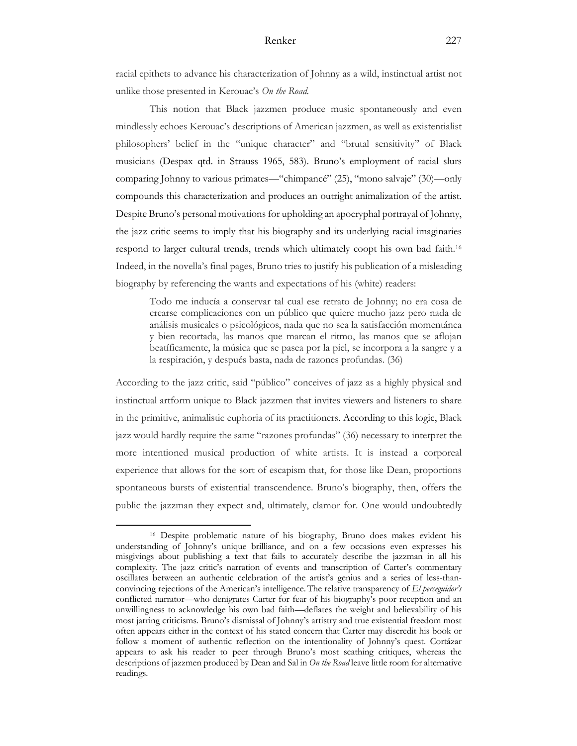racial epithets to advance his characterization of Johnny as a wild, instinctual artist not unlike those presented in Kerouac's *On the Road.* 

This notion that Black jazzmen produce music spontaneously and even mindlessly echoes Kerouac's descriptions of American jazzmen, as well as existentialist philosophers' belief in the "unique character" and "brutal sensitivity" of Black musicians (Despax qtd. in Strauss 1965, 583). Bruno's employment of racial slurs comparing Johnny to various primates—"chimpancé" (25), "mono salvaje" (30)—only compounds this characterization and produces an outright animalization of the artist. Despite Bruno's personal motivations for upholding an apocryphal portrayal of Johnny, the jazz critic seems to imply that his biography and its underlying racial imaginaries respond to larger cultural trends, trends which ultimately coopt his own bad faith.16 Indeed, in the novella's final pages, Bruno tries to justify his publication of a misleading biography by referencing the wants and expectations of his (white) readers:

Todo me inducía a conservar tal cual ese retrato de Johnny; no era cosa de crearse complicaciones con un público que quiere mucho jazz pero nada de análisis musicales o psicológicos, nada que no sea la satisfacción momentánea y bien recortada, las manos que marcan el ritmo, las manos que se aflojan beatíficamente, la música que se pasea por la piel, se incorpora a la sangre y a la respiración, y después basta, nada de razones profundas. (36)

According to the jazz critic, said "público" conceives of jazz as a highly physical and instinctual artform unique to Black jazzmen that invites viewers and listeners to share in the primitive, animalistic euphoria of its practitioners. According to this logic, Black jazz would hardly require the same "razones profundas" (36) necessary to interpret the more intentioned musical production of white artists. It is instead a corporeal experience that allows for the sort of escapism that, for those like Dean, proportions spontaneous bursts of existential transcendence. Bruno's biography, then, offers the public the jazzman they expect and, ultimately, clamor for. One would undoubtedly

<sup>16</sup> Despite problematic nature of his biography, Bruno does makes evident his understanding of Johnny's unique brilliance, and on a few occasions even expresses his misgivings about publishing a text that fails to accurately describe the jazzman in all his complexity. The jazz critic's narration of events and transcription of Carter's commentary oscillates between an authentic celebration of the artist's genius and a series of less-thanconvincing rejections of the American's intelligence. The relative transparency of *El perseguidor's* conflicted narrator—who denigrates Carter for fear of his biography's poor reception and an unwillingness to acknowledge his own bad faith—deflates the weight and believability of his most jarring criticisms. Bruno's dismissal of Johnny's artistry and true existential freedom most often appears either in the context of his stated concern that Carter may discredit his book or follow a moment of authentic reflection on the intentionality of Johnny's quest. Cortázar appears to ask his reader to peer through Bruno's most scathing critiques, whereas the descriptions of jazzmen produced by Dean and Sal in *On the Road* leave little room for alternative readings.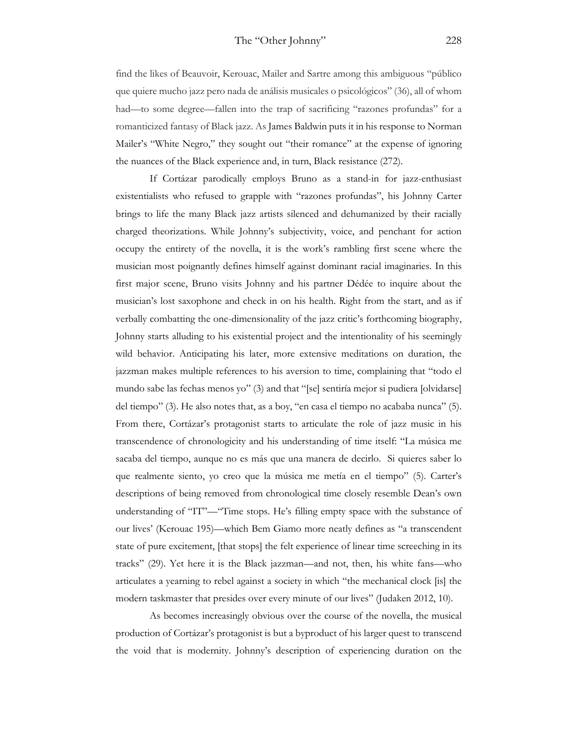find the likes of Beauvoir, Kerouac, Mailer and Sartre among this ambiguous "público que quiere mucho jazz pero nada de análisis musicales o psicológicos" (36), all of whom had—to some degree—fallen into the trap of sacrificing "razones profundas" for a romanticized fantasy of Black jazz. As James Baldwin puts it in his response to Norman Mailer's "White Negro," they sought out "their romance" at the expense of ignoring the nuances of the Black experience and, in turn, Black resistance (272).

If Cortázar parodically employs Bruno as a stand-in for jazz-enthusiast existentialists who refused to grapple with "razones profundas", his Johnny Carter brings to life the many Black jazz artists silenced and dehumanized by their racially charged theorizations. While Johnny's subjectivity, voice, and penchant for action occupy the entirety of the novella, it is the work's rambling first scene where the musician most poignantly defines himself against dominant racial imaginaries. In this first major scene, Bruno visits Johnny and his partner Dédée to inquire about the musician's lost saxophone and check in on his health. Right from the start, and as if verbally combatting the one-dimensionality of the jazz critic's forthcoming biography, Johnny starts alluding to his existential project and the intentionality of his seemingly wild behavior. Anticipating his later, more extensive meditations on duration, the jazzman makes multiple references to his aversion to time, complaining that "todo el mundo sabe las fechas menos yo" (3) and that "[se] sentiría mejor si pudiera [olvidarse] del tiempo" (3). He also notes that, as a boy, "en casa el tiempo no acababa nunca" (5). From there, Cortázar's protagonist starts to articulate the role of jazz music in his transcendence of chronologicity and his understanding of time itself: "La música me sacaba del tiempo, aunque no es más que una manera de decirlo. Si quieres saber lo que realmente siento, yo creo que la música me metía en el tiempo" (5). Carter's descriptions of being removed from chronological time closely resemble Dean's own understanding of "IT"—"Time stops. He's filling empty space with the substance of our lives' (Kerouac 195)—which Bem Giamo more neatly defines as "a transcendent state of pure excitement, [that stops] the felt experience of linear time screeching in its tracks" (29). Yet here it is the Black jazzman—and not, then, his white fans—who articulates a yearning to rebel against a society in which "the mechanical clock [is] the modern taskmaster that presides over every minute of our lives" (Judaken 2012, 10).

As becomes increasingly obvious over the course of the novella, the musical production of Cortázar's protagonist is but a byproduct of his larger quest to transcend the void that is modernity. Johnny's description of experiencing duration on the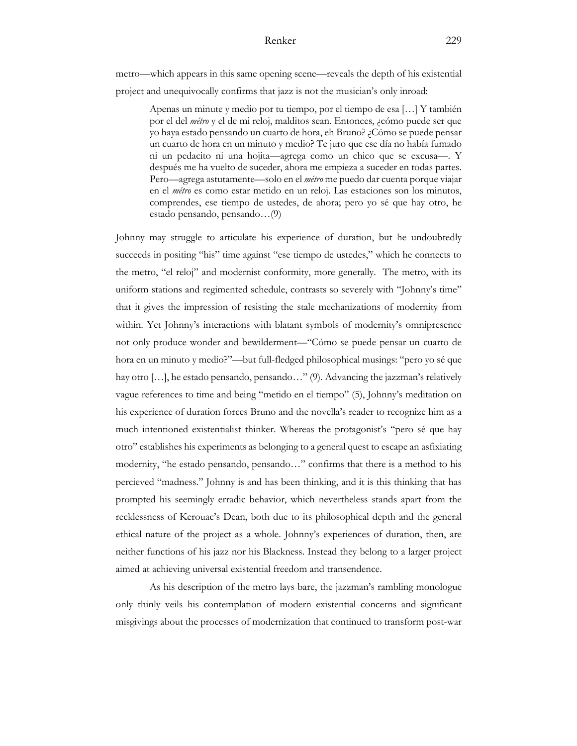metro—which appears in this same opening scene—reveals the depth of his existential project and unequivocally confirms that jazz is not the musician's only inroad:

> Apenas un minute y medio por tu tiempo, por el tiempo de esa […] Y también por el del *métro* y el de mi reloj, malditos sean. Entonces, ¿cómo puede ser que yo haya estado pensando un cuarto de hora, eh Bruno? ¿Cómo se puede pensar un cuarto de hora en un minuto y medio? Te juro que ese día no había fumado ni un pedacito ni una hojita—agrega como un chico que se excusa—. Y después me ha vuelto de suceder, ahora me empieza a suceder en todas partes. Pero—agrega astutamente—solo en el *métro* me puedo dar cuenta porque viajar en el *métro* es como estar metido en un reloj. Las estaciones son los minutos, comprendes, ese tiempo de ustedes, de ahora; pero yo sé que hay otro, he estado pensando, pensando…(9)

Johnny may struggle to articulate his experience of duration, but he undoubtedly succeeds in positing "his" time against "ese tiempo de ustedes," which he connects to the metro, "el reloj" and modernist conformity, more generally. The metro, with its uniform stations and regimented schedule, contrasts so severely with "Johnny's time" that it gives the impression of resisting the stale mechanizations of modernity from within. Yet Johnny's interactions with blatant symbols of modernity's omnipresence not only produce wonder and bewilderment—"Cómo se puede pensar un cuarto de hora en un minuto y medio?"—but full-fledged philosophical musings: "pero yo sé que hay otro […], he estado pensando, pensando…" (9). Advancing the jazzman's relatively vague references to time and being "metido en el tiempo" (5), Johnny's meditation on his experience of duration forces Bruno and the novella's reader to recognize him as a much intentioned existentialist thinker. Whereas the protagonist's "pero sé que hay otro" establishes his experiments as belonging to a general quest to escape an asfixiating modernity, "he estado pensando, pensando…" confirms that there is a method to his percieved "madness." Johnny is and has been thinking, and it is this thinking that has prompted his seemingly erradic behavior, which nevertheless stands apart from the recklessness of Kerouac's Dean, both due to its philosophical depth and the general ethical nature of the project as a whole. Johnny's experiences of duration, then, are neither functions of his jazz nor his Blackness. Instead they belong to a larger project aimed at achieving universal existential freedom and transendence.

As his description of the metro lays bare, the jazzman's rambling monologue only thinly veils his contemplation of modern existential concerns and significant misgivings about the processes of modernization that continued to transform post-war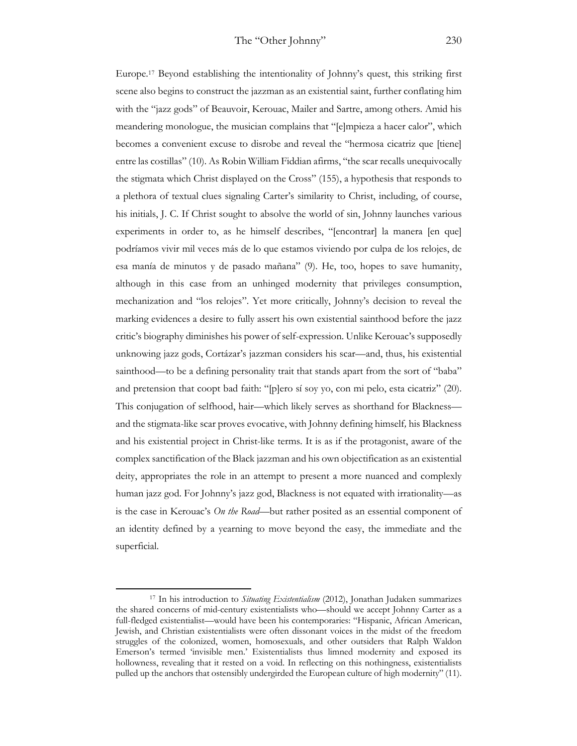Europe.17 Beyond establishing the intentionality of Johnny's quest, this striking first scene also begins to construct the jazzman as an existential saint, further conflating him with the "jazz gods" of Beauvoir, Kerouac, Mailer and Sartre, among others. Amid his meandering monologue, the musician complains that "[e]mpieza a hacer calor", which becomes a convenient excuse to disrobe and reveal the "hermosa cicatriz que [tiene] entre las costillas" (10). As Robin William Fiddian afirms, "the scar recalls unequivocally the stigmata which Christ displayed on the Cross" (155), a hypothesis that responds to a plethora of textual clues signaling Carter's similarity to Christ, including, of course, his initials, J. C. If Christ sought to absolve the world of sin, Johnny launches various experiments in order to, as he himself describes, "[encontrar] la manera [en que] podríamos vivir mil veces más de lo que estamos viviendo por culpa de los relojes, de esa manía de minutos y de pasado mañana" (9). He, too, hopes to save humanity, although in this case from an unhinged modernity that privileges consumption, mechanization and "los relojes". Yet more critically, Johnny's decision to reveal the marking evidences a desire to fully assert his own existential sainthood before the jazz critic's biography diminishes his power of self-expression. Unlike Kerouac's supposedly unknowing jazz gods, Cortázar's jazzman considers his scar—and, thus, his existential sainthood—to be a defining personality trait that stands apart from the sort of "baba" and pretension that coopt bad faith: "[p]ero sí soy yo, con mi pelo, esta cicatriz" (20). This conjugation of selfhood, hair—which likely serves as shorthand for Blackness and the stigmata-like scar proves evocative, with Johnny defining himself*,* his Blackness and his existential project in Christ-like terms. It is as if the protagonist, aware of the complex sanctification of the Black jazzman and his own objectification as an existential deity, appropriates the role in an attempt to present a more nuanced and complexly human jazz god. For Johnny's jazz god, Blackness is not equated with irrationality—as is the case in Kerouac's *On the Road*—but rather posited as an essential component of an identity defined by a yearning to move beyond the easy, the immediate and the superficial.

<sup>17</sup> In his introduction to *Situating Existentialism* (2012), Jonathan Judaken summarizes the shared concerns of mid-century existentialists who—should we accept Johnny Carter as a full-fledged existentialist—would have been his contemporaries: "Hispanic, African American, Jewish, and Christian existentialists were often dissonant voices in the midst of the freedom struggles of the colonized, women, homosexuals, and other outsiders that Ralph Waldon Emerson's termed 'invisible men.' Existentialists thus limned modernity and exposed its hollowness, revealing that it rested on a void. In reflecting on this nothingness, existentialists pulled up the anchors that ostensibly undergirded the European culture of high modernity" (11).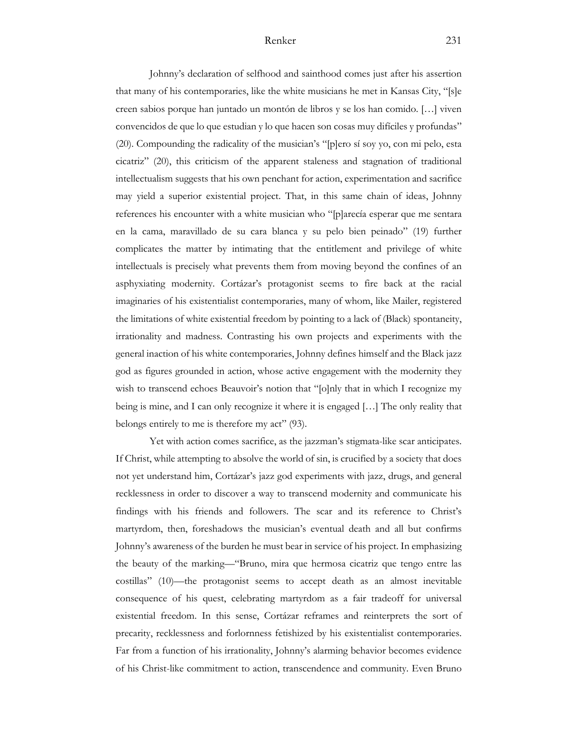Johnny's declaration of selfhood and sainthood comes just after his assertion that many of his contemporaries, like the white musicians he met in Kansas City, "[s]e creen sabios porque han juntado un montón de libros y se los han comido. […] viven convencidos de que lo que estudian y lo que hacen son cosas muy difíciles y profundas" (20). Compounding the radicality of the musician's "[p]ero sí soy yo, con mi pelo, esta cicatriz" (20), this criticism of the apparent staleness and stagnation of traditional intellectualism suggests that his own penchant for action, experimentation and sacrifice may yield a superior existential project. That, in this same chain of ideas, Johnny references his encounter with a white musician who "[p]arecía esperar que me sentara en la cama, maravillado de su cara blanca y su pelo bien peinado" (19) further complicates the matter by intimating that the entitlement and privilege of white intellectuals is precisely what prevents them from moving beyond the confines of an asphyxiating modernity. Cortázar's protagonist seems to fire back at the racial imaginaries of his existentialist contemporaries, many of whom, like Mailer, registered the limitations of white existential freedom by pointing to a lack of (Black) spontaneity, irrationality and madness. Contrasting his own projects and experiments with the general inaction of his white contemporaries, Johnny defines himself and the Black jazz god as figures grounded in action, whose active engagement with the modernity they wish to transcend echoes Beauvoir's notion that "[o]nly that in which I recognize my being is mine, and I can only recognize it where it is engaged […] The only reality that belongs entirely to me is therefore my act" (93).

Yet with action comes sacrifice, as the jazzman's stigmata-like scar anticipates. If Christ, while attempting to absolve the world of sin, is crucified by a society that does not yet understand him, Cortázar's jazz god experiments with jazz, drugs, and general recklessness in order to discover a way to transcend modernity and communicate his findings with his friends and followers. The scar and its reference to Christ's martyrdom, then, foreshadows the musician's eventual death and all but confirms Johnny's awareness of the burden he must bear in service of his project. In emphasizing the beauty of the marking—"Bruno, mira que hermosa cicatriz que tengo entre las costillas" (10)—the protagonist seems to accept death as an almost inevitable consequence of his quest, celebrating martyrdom as a fair tradeoff for universal existential freedom. In this sense, Cortázar reframes and reinterprets the sort of precarity, recklessness and forlornness fetishized by his existentialist contemporaries. Far from a function of his irrationality, Johnny's alarming behavior becomes evidence of his Christ-like commitment to action, transcendence and community. Even Bruno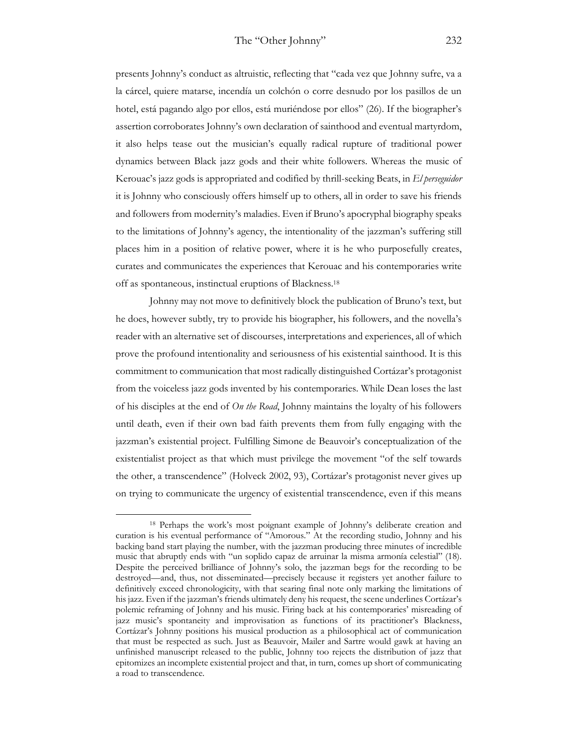presents Johnny's conduct as altruistic, reflecting that "cada vez que Johnny sufre, va a la cárcel, quiere matarse, incendía un colchón o corre desnudo por los pasillos de un hotel, está pagando algo por ellos, está muriéndose por ellos" (26). If the biographer's assertion corroborates Johnny's own declaration of sainthood and eventual martyrdom, it also helps tease out the musician's equally radical rupture of traditional power dynamics between Black jazz gods and their white followers. Whereas the music of Kerouac's jazz gods is appropriated and codified by thrill-seeking Beats, in *El perseguidor*  it is Johnny who consciously offers himself up to others, all in order to save his friends and followers from modernity's maladies. Even if Bruno's apocryphal biography speaks to the limitations of Johnny's agency, the intentionality of the jazzman's suffering still places him in a position of relative power, where it is he who purposefully creates, curates and communicates the experiences that Kerouac and his contemporaries write off as spontaneous, instinctual eruptions of Blackness.18

Johnny may not move to definitively block the publication of Bruno's text, but he does, however subtly, try to provide his biographer, his followers, and the novella's reader with an alternative set of discourses, interpretations and experiences, all of which prove the profound intentionality and seriousness of his existential sainthood. It is this commitment to communication that most radically distinguished Cortázar's protagonist from the voiceless jazz gods invented by his contemporaries. While Dean loses the last of his disciples at the end of *On the Road*, Johnny maintains the loyalty of his followers until death, even if their own bad faith prevents them from fully engaging with the jazzman's existential project. Fulfilling Simone de Beauvoir's conceptualization of the existentialist project as that which must privilege the movement "of the self towards the other, a transcendence" (Holveck 2002, 93), Cortázar's protagonist never gives up on trying to communicate the urgency of existential transcendence, even if this means

<sup>18</sup> Perhaps the work's most poignant example of Johnny's deliberate creation and curation is his eventual performance of "Amorous." At the recording studio, Johnny and his backing band start playing the number, with the jazzman producing three minutes of incredible music that abruptly ends with "un soplido capaz de arruinar la misma armonía celestial" (18). Despite the perceived brilliance of Johnny's solo, the jazzman begs for the recording to be destroyed—and, thus, not disseminated—precisely because it registers yet another failure to definitively exceed chronologicity, with that searing final note only marking the limitations of his jazz. Even if the jazzman's friends ultimately deny his request, the scene underlines Cortázar's polemic reframing of Johnny and his music. Firing back at his contemporaries' misreading of jazz music's spontaneity and improvisation as functions of its practitioner's Blackness, Cortázar's Johnny positions his musical production as a philosophical act of communication that must be respected as such. Just as Beauvoir, Mailer and Sartre would gawk at having an unfinished manuscript released to the public, Johnny too rejects the distribution of jazz that epitomizes an incomplete existential project and that, in turn, comes up short of communicating a road to transcendence.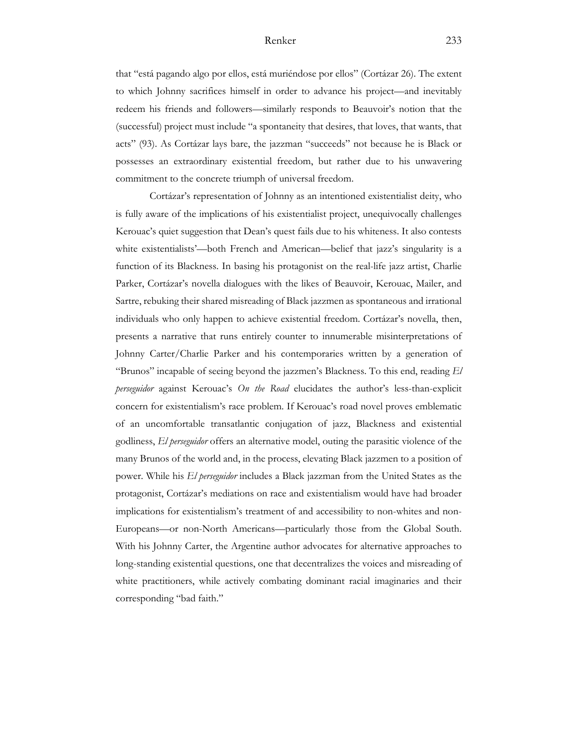that "está pagando algo por ellos, está muriéndose por ellos" (Cortázar 26). The extent to which Johnny sacrifices himself in order to advance his project—and inevitably redeem his friends and followers—similarly responds to Beauvoir's notion that the (successful) project must include "a spontaneity that desires, that loves, that wants, that acts" (93). As Cortázar lays bare, the jazzman "succeeds" not because he is Black or possesses an extraordinary existential freedom, but rather due to his unwavering commitment to the concrete triumph of universal freedom.

Cortázar's representation of Johnny as an intentioned existentialist deity, who is fully aware of the implications of his existentialist project, unequivocally challenges Kerouac's quiet suggestion that Dean's quest fails due to his whiteness. It also contests white existentialists'—both French and American—belief that jazz's singularity is a function of its Blackness. In basing his protagonist on the real-life jazz artist, Charlie Parker, Cortázar's novella dialogues with the likes of Beauvoir, Kerouac, Mailer, and Sartre, rebuking their shared misreading of Black jazzmen as spontaneous and irrational individuals who only happen to achieve existential freedom. Cortázar's novella, then, presents a narrative that runs entirely counter to innumerable misinterpretations of Johnny Carter/Charlie Parker and his contemporaries written by a generation of "Brunos" incapable of seeing beyond the jazzmen's Blackness. To this end, reading *El perseguidor* against Kerouac's *On the Road* elucidates the author's less-than-explicit concern for existentialism's race problem. If Kerouac's road novel proves emblematic of an uncomfortable transatlantic conjugation of jazz, Blackness and existential godliness, *El perseguidor* offers an alternative model, outing the parasitic violence of the many Brunos of the world and, in the process, elevating Black jazzmen to a position of power. While his *El perseguidor* includes a Black jazzman from the United States as the protagonist, Cortázar's mediations on race and existentialism would have had broader implications for existentialism's treatment of and accessibility to non-whites and non-Europeans—or non-North Americans—particularly those from the Global South. With his Johnny Carter, the Argentine author advocates for alternative approaches to long-standing existential questions, one that decentralizes the voices and misreading of white practitioners, while actively combating dominant racial imaginaries and their corresponding "bad faith."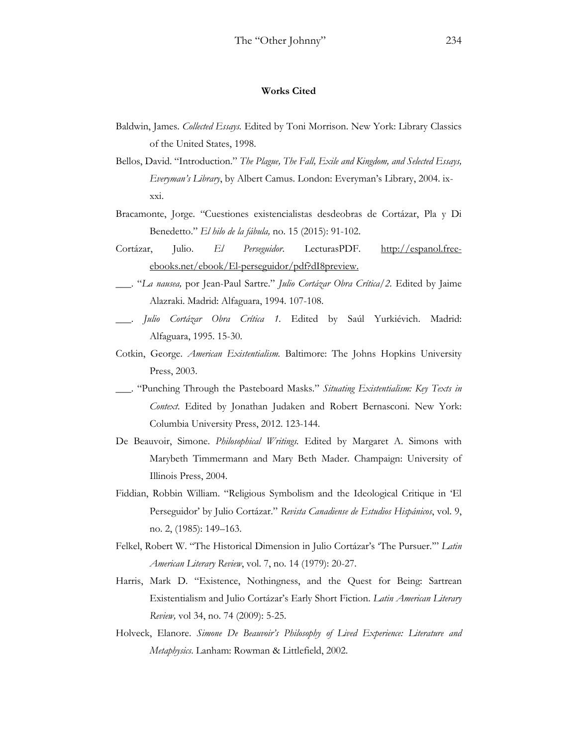#### **Works Cited**

- Baldwin, James. *Collected Essays.* Edited by Toni Morrison. New York: Library Classics of the United States, 1998.
- Bellos, David. "Introduction." *The Plague, The Fall, Exile and Kingdom, and Selected Essays, Everyman's Library*, by Albert Camus. London: Everyman's Library, 2004. ixxxi.
- Bracamonte, Jorge. "Cuestiones existencialistas desdeobras de Cortázar, Pla y Di Benedetto." *El hilo de la fábula,* no. 15 (2015): 91-102.
- Cortázar, Julio. *El Perseguidor*. LecturasPDF. http://espanol.freeebooks.net/ebook/El-perseguidor/pdf?dI8preview.
- \_\_\_. "*La nausea,* por Jean-Paul Sartre." *Julio Cortázar Obra Crítica/2.* Edited by Jaime Alazraki. Madrid: Alfaguara, 1994. 107-108.
- \_\_\_. *Julio Cortázar Obra Crítica 1.* Edited by Saúl Yurkiévich. Madrid: Alfaguara, 1995. 15-30.
- Cotkin, George. *American Existentialism.* Baltimore: The Johns Hopkins University Press, 2003.
- \_\_\_. "Punching Through the Pasteboard Masks." *Situating Existentialism: Key Texts in Context*. Edited by Jonathan Judaken and Robert Bernasconi. New York: Columbia University Press, 2012. 123-144.
- De Beauvoir, Simone. *Philosophical Writings.* Edited by Margaret A. Simons with Marybeth Timmermann and Mary Beth Mader. Champaign: University of Illinois Press, 2004.
- Fiddian, Robbin William. "Religious Symbolism and the Ideological Critique in 'El Perseguidor' by Julio Cortázar." *Revista Canadiense de Estudios Hispánicos*, vol. 9, no. 2, (1985): 149–163.
- Felkel, Robert W. "The Historical Dimension in Julio Cortázar's 'The Pursuer.'" *Latin American Literary Review*, vol. 7, no. 14 (1979): 20-27.
- Harris, Mark D. "Existence, Nothingness, and the Quest for Being: Sartrean Existentialism and Julio Cortázar's Early Short Fiction. *Latin American Literary Review,* vol 34, no. 74 (2009): 5-25.
- Holveck, Elanore. *Simone De Beauvoir's Philosophy of Lived Experience: Literature and Metaphysics*. Lanham: Rowman & Littlefield, 2002.